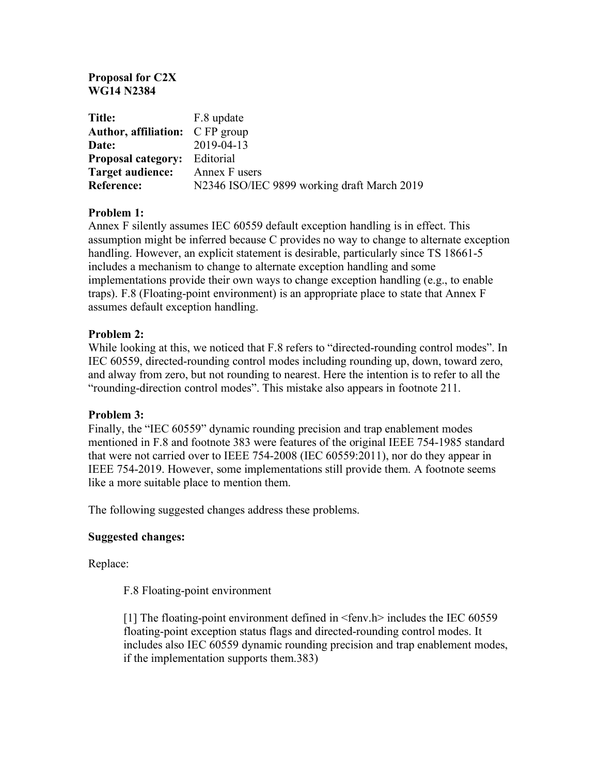## **Proposal for C2X WG14 N2384**

| <b>Title:</b>                          | F.8 update                                  |
|----------------------------------------|---------------------------------------------|
| <b>Author, affiliation:</b> C FP group |                                             |
| Date:                                  | 2019-04-13                                  |
| <b>Proposal category:</b> Editorial    |                                             |
| <b>Target audience:</b>                | Annex F users                               |
| Reference:                             | N2346 ISO/IEC 9899 working draft March 2019 |

# **Problem 1:**

Annex F silently assumes IEC 60559 default exception handling is in effect. This assumption might be inferred because C provides no way to change to alternate exception handling. However, an explicit statement is desirable, particularly since TS 18661-5 includes a mechanism to change to alternate exception handling and some implementations provide their own ways to change exception handling (e.g., to enable traps). F.8 (Floating-point environment) is an appropriate place to state that Annex F assumes default exception handling.

### **Problem 2:**

While looking at this, we noticed that F.8 refers to "directed-rounding control modes". In IEC 60559, directed-rounding control modes including rounding up, down, toward zero, and alway from zero, but not rounding to nearest. Here the intention is to refer to all the "rounding-direction control modes". This mistake also appears in footnote 211.

### **Problem 3:**

Finally, the "IEC 60559" dynamic rounding precision and trap enablement modes mentioned in F.8 and footnote 383 were features of the original IEEE 754-1985 standard that were not carried over to IEEE 754-2008 (IEC 60559:2011), nor do they appear in IEEE 754-2019. However, some implementations still provide them. A footnote seems like a more suitable place to mention them.

The following suggested changes address these problems.

### **Suggested changes:**

Replace:

### F.8 Floating-point environment

[1] The floating-point environment defined in <fenv.h> includes the IEC 60559 floating-point exception status flags and directed-rounding control modes. It includes also IEC 60559 dynamic rounding precision and trap enablement modes, if the implementation supports them.383)